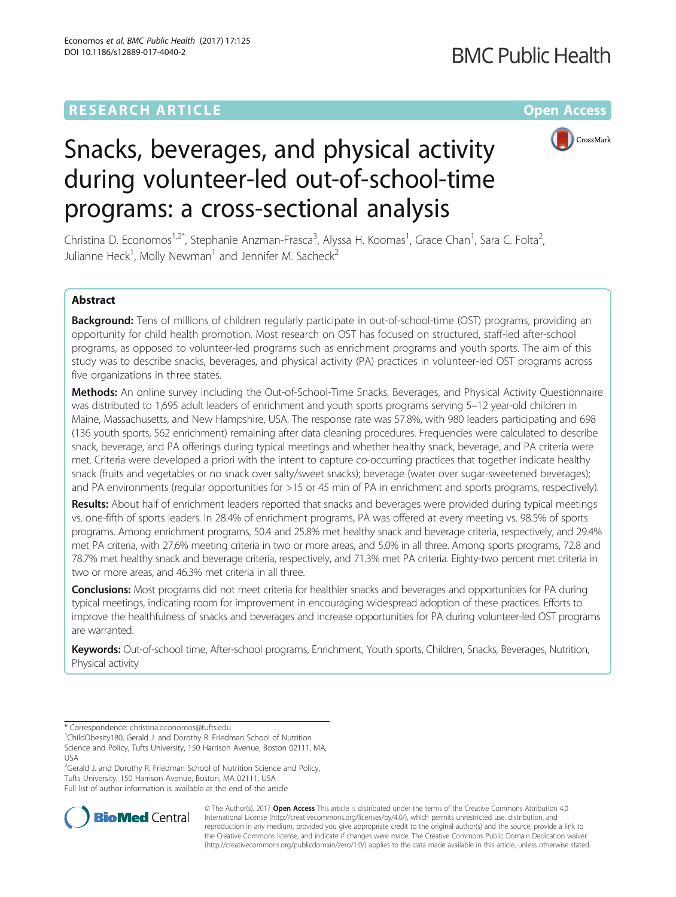# **RESEARCH ARTICLE Example 2014 12:30 The Community Community Community Community Community Community Community**



# Snacks, beverages, and physical activity during volunteer-led out-of-school-time programs: a cross-sectional analysis

Christina D. Economos<sup>1,2\*</sup>, Stephanie Anzman-Frasca<sup>3</sup>, Alyssa H. Koomas<sup>1</sup>, Grace Chan<sup>1</sup>, Sara C. Folta<sup>2</sup> , Julianne Heck<sup>1</sup>, Molly Newman<sup>1</sup> and Jennifer M. Sacheck<sup>2</sup>

# Abstract

Background: Tens of millions of children regularly participate in out-of-school-time (OST) programs, providing an opportunity for child health promotion. Most research on OST has focused on structured, staff-led after-school programs, as opposed to volunteer-led programs such as enrichment programs and youth sports. The aim of this study was to describe snacks, beverages, and physical activity (PA) practices in volunteer-led OST programs across five organizations in three states.

Methods: An online survey including the Out-of-School-Time Snacks, Beverages, and Physical Activity Questionnaire was distributed to 1,695 adult leaders of enrichment and youth sports programs serving 5–12 year-old children in Maine, Massachusetts, and New Hampshire, USA. The response rate was 57.8%, with 980 leaders participating and 698 (136 youth sports, 562 enrichment) remaining after data cleaning procedures. Frequencies were calculated to describe snack, beverage, and PA offerings during typical meetings and whether healthy snack, beverage, and PA criteria were met. Criteria were developed a priori with the intent to capture co-occurring practices that together indicate healthy snack (fruits and vegetables or no snack over salty/sweet snacks); beverage (water over sugar-sweetened beverages); and PA environments (regular opportunities for >15 or 45 min of PA in enrichment and sports programs, respectively).

Results: About half of enrichment leaders reported that snacks and beverages were provided during typical meetings vs. one-fifth of sports leaders. In 28.4% of enrichment programs, PA was offered at every meeting vs. 98.5% of sports programs. Among enrichment programs, 50.4 and 25.8% met healthy snack and beverage criteria, respectively, and 29.4% met PA criteria, with 27.6% meeting criteria in two or more areas, and 5.0% in all three. Among sports programs, 72.8 and 78.7% met healthy snack and beverage criteria, respectively, and 71.3% met PA criteria. Eighty-two percent met criteria in two or more areas, and 46.3% met criteria in all three.

**Conclusions:** Most programs did not meet criteria for healthier snacks and beverages and opportunities for PA during typical meetings, indicating room for improvement in encouraging widespread adoption of these practices. Efforts to improve the healthfulness of snacks and beverages and increase opportunities for PA during volunteer-led OST programs are warranted.

Keywords: Out-of-school time, After-school programs, Enrichment, Youth sports, Children, Snacks, Beverages, Nutrition, Physical activity

<sup>2</sup>Gerald J. and Dorothy R. Friedman School of Nutrition Science and Policy, Tufts University, 150 Harrison Avenue, Boston, MA 02111, USA Full list of author information is available at the end of the article



© The Author(s). 2017 **Open Access** This article is distributed under the terms of the Creative Commons Attribution 4.0 International License [\(http://creativecommons.org/licenses/by/4.0/](http://creativecommons.org/licenses/by/4.0/)), which permits unrestricted use, distribution, and reproduction in any medium, provided you give appropriate credit to the original author(s) and the source, provide a link to the Creative Commons license, and indicate if changes were made. The Creative Commons Public Domain Dedication waiver [\(http://creativecommons.org/publicdomain/zero/1.0/](http://creativecommons.org/publicdomain/zero/1.0/)) applies to the data made available in this article, unless otherwise stated.

<sup>\*</sup> Correspondence: [christina.economos@tufts.edu](mailto:christina.economos@tufts.edu) <sup>1</sup>

<sup>&</sup>lt;sup>1</sup>ChildObesity180, Gerald J. and Dorothy R. Friedman School of Nutrition Science and Policy, Tufts University, 150 Harrison Avenue, Boston 02111, MA, USA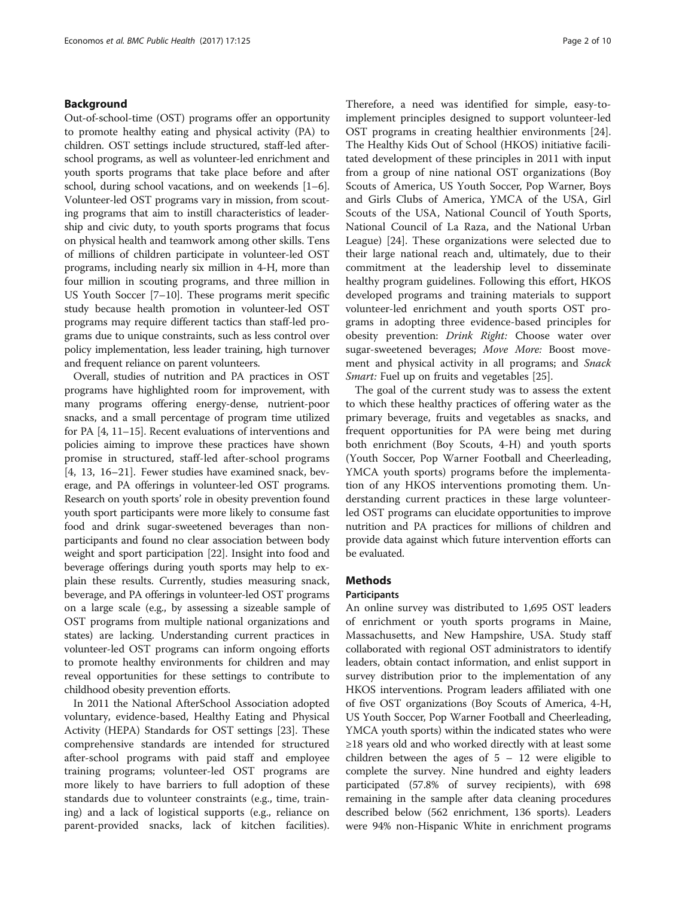# Background

Out-of-school-time (OST) programs offer an opportunity to promote healthy eating and physical activity (PA) to children. OST settings include structured, staff-led afterschool programs, as well as volunteer-led enrichment and youth sports programs that take place before and after school, during school vacations, and on weekends [[1](#page-8-0)–[6](#page-9-0)]. Volunteer-led OST programs vary in mission, from scouting programs that aim to instill characteristics of leadership and civic duty, to youth sports programs that focus on physical health and teamwork among other skills. Tens of millions of children participate in volunteer-led OST programs, including nearly six million in 4-H, more than four million in scouting programs, and three million in US Youth Soccer [\[7](#page-9-0)–[10\]](#page-9-0). These programs merit specific study because health promotion in volunteer-led OST programs may require different tactics than staff-led programs due to unique constraints, such as less control over policy implementation, less leader training, high turnover and frequent reliance on parent volunteers.

Overall, studies of nutrition and PA practices in OST programs have highlighted room for improvement, with many programs offering energy-dense, nutrient-poor snacks, and a small percentage of program time utilized for PA [[4](#page-9-0), [11](#page-9-0)–[15\]](#page-9-0). Recent evaluations of interventions and policies aiming to improve these practices have shown promise in structured, staff-led after-school programs [[4, 13, 16](#page-9-0)–[21](#page-9-0)]. Fewer studies have examined snack, beverage, and PA offerings in volunteer-led OST programs. Research on youth sports' role in obesity prevention found youth sport participants were more likely to consume fast food and drink sugar-sweetened beverages than nonparticipants and found no clear association between body weight and sport participation [[22](#page-9-0)]. Insight into food and beverage offerings during youth sports may help to explain these results. Currently, studies measuring snack, beverage, and PA offerings in volunteer-led OST programs on a large scale (e.g., by assessing a sizeable sample of OST programs from multiple national organizations and states) are lacking. Understanding current practices in volunteer-led OST programs can inform ongoing efforts to promote healthy environments for children and may reveal opportunities for these settings to contribute to childhood obesity prevention efforts.

In 2011 the National AfterSchool Association adopted voluntary, evidence-based, Healthy Eating and Physical Activity (HEPA) Standards for OST settings [\[23\]](#page-9-0). These comprehensive standards are intended for structured after-school programs with paid staff and employee training programs; volunteer-led OST programs are more likely to have barriers to full adoption of these standards due to volunteer constraints (e.g., time, training) and a lack of logistical supports (e.g., reliance on parent-provided snacks, lack of kitchen facilities). Therefore, a need was identified for simple, easy-toimplement principles designed to support volunteer-led OST programs in creating healthier environments [\[24](#page-9-0)]. The Healthy Kids Out of School (HKOS) initiative facilitated development of these principles in 2011 with input from a group of nine national OST organizations (Boy Scouts of America, US Youth Soccer, Pop Warner, Boys and Girls Clubs of America, YMCA of the USA, Girl Scouts of the USA, National Council of Youth Sports, National Council of La Raza, and the National Urban League) [[24\]](#page-9-0). These organizations were selected due to their large national reach and, ultimately, due to their commitment at the leadership level to disseminate healthy program guidelines. Following this effort, HKOS developed programs and training materials to support volunteer-led enrichment and youth sports OST programs in adopting three evidence-based principles for obesity prevention: Drink Right: Choose water over sugar-sweetened beverages; Move More: Boost movement and physical activity in all programs; and Snack Smart: Fuel up on fruits and vegetables [\[25](#page-9-0)].

The goal of the current study was to assess the extent to which these healthy practices of offering water as the primary beverage, fruits and vegetables as snacks, and frequent opportunities for PA were being met during both enrichment (Boy Scouts, 4-H) and youth sports (Youth Soccer, Pop Warner Football and Cheerleading, YMCA youth sports) programs before the implementation of any HKOS interventions promoting them. Understanding current practices in these large volunteerled OST programs can elucidate opportunities to improve nutrition and PA practices for millions of children and provide data against which future intervention efforts can be evaluated.

# **Methods**

## **Participants**

An online survey was distributed to 1,695 OST leaders of enrichment or youth sports programs in Maine, Massachusetts, and New Hampshire, USA. Study staff collaborated with regional OST administrators to identify leaders, obtain contact information, and enlist support in survey distribution prior to the implementation of any HKOS interventions. Program leaders affiliated with one of five OST organizations (Boy Scouts of America, 4-H, US Youth Soccer, Pop Warner Football and Cheerleading, YMCA youth sports) within the indicated states who were ≥18 years old and who worked directly with at least some children between the ages of  $5 - 12$  were eligible to complete the survey. Nine hundred and eighty leaders participated (57.8% of survey recipients), with 698 remaining in the sample after data cleaning procedures described below (562 enrichment, 136 sports). Leaders were 94% non-Hispanic White in enrichment programs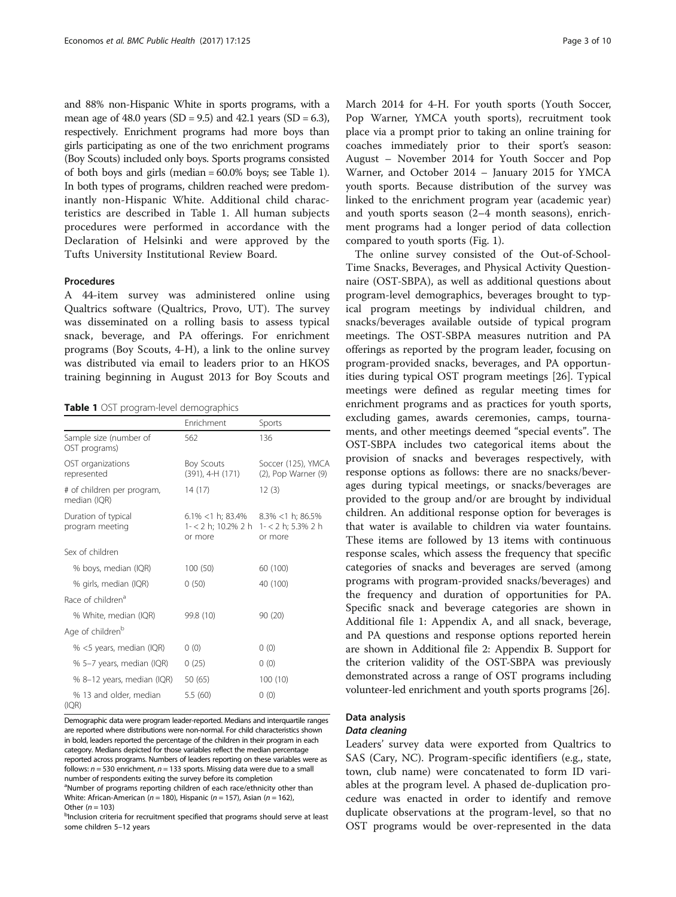<span id="page-2-0"></span>and 88% non-Hispanic White in sports programs, with a mean age of 48.0 years (SD = 9.5) and 42.1 years (SD = 6.3), respectively. Enrichment programs had more boys than girls participating as one of the two enrichment programs (Boy Scouts) included only boys. Sports programs consisted of both boys and girls (median = 60.0% boys; see Table 1). In both types of programs, children reached were predominantly non-Hispanic White. Additional child characteristics are described in Table 1. All human subjects procedures were performed in accordance with the Declaration of Helsinki and were approved by the Tufts University Institutional Review Board.

# Procedures

A 44-item survey was administered online using Qualtrics software (Qualtrics, Provo, UT). The survey was disseminated on a rolling basis to assess typical snack, beverage, and PA offerings. For enrichment programs (Boy Scouts, 4-H), a link to the online survey was distributed via email to leaders prior to an HKOS training beginning in August 2013 for Boy Scouts and

Table 1 OST program-level demographics

|                                            | Enrichment                                                                                  | Sports                                    |
|--------------------------------------------|---------------------------------------------------------------------------------------------|-------------------------------------------|
| Sample size (number of<br>OST programs)    | 562                                                                                         | 136                                       |
| OST organizations<br>represented           | <b>Boy Scouts</b><br>(391), 4-H (171)                                                       | Soccer (125), YMCA<br>(2), Pop Warner (9) |
| # of children per program,<br>median (IQR) | 14(17)                                                                                      | 12(3)                                     |
| Duration of typical<br>program meeting     | $6.1\%$ < 1 h; 83.4% 8.3% < 1 h; 86.5%<br>1- < 2 h; 10.2% 2 h 1- < 2 h; 5.3% 2 h<br>or more | or more                                   |
| Sex of children                            |                                                                                             |                                           |
| % boys, median (IQR)                       | 100 (50)                                                                                    | 60 (100)                                  |
| % girls, median (IQR)                      | 0(50)                                                                                       | 40 (100)                                  |
| Race of children <sup>a</sup>              |                                                                                             |                                           |
| % White, median (IQR)                      | 99.8 (10)                                                                                   | 90 (20)                                   |
| Age of children <sup>b</sup>               |                                                                                             |                                           |
| % <5 years, median (IQR)                   | 0(0)                                                                                        | 0(0)                                      |
| % 5-7 years, median (IQR)                  | 0(25)                                                                                       | 0(0)                                      |
| % 8-12 years, median (IQR)                 | 50 (65)                                                                                     | 100(10)                                   |
| % 13 and older, median<br>(IQR)            | 5.5 (60)                                                                                    | 0(0)                                      |

Demographic data were program leader-reported. Medians and interquartile ranges are reported where distributions were non-normal. For child characteristics shown in bold, leaders reported the percentage of the children in their program in each category. Medians depicted for those variables reflect the median percentage reported across programs. Numbers of leaders reporting on these variables were as follows:  $n = 530$  enrichment,  $n = 133$  sports. Missing data were due to a small number of respondents exiting the survey before its completion <sup>a</sup>Number of programs reporting children of each race/ethnicity other than

White: African-American ( $n = 180$ ), Hispanic ( $n = 157$ ), Asian ( $n = 162$ ), Other  $(n = 103)$ <sup>b</sup>Inclusion criteria for recruitment specified that programs should serve at least

some children 5–12 years

March 2014 for 4-H. For youth sports (Youth Soccer, Pop Warner, YMCA youth sports), recruitment took place via a prompt prior to taking an online training for coaches immediately prior to their sport's season: August – November 2014 for Youth Soccer and Pop Warner, and October 2014 – January 2015 for YMCA youth sports. Because distribution of the survey was linked to the enrichment program year (academic year) and youth sports season (2–4 month seasons), enrichment programs had a longer period of data collection compared to youth sports (Fig. [1](#page-3-0)).

The online survey consisted of the Out-of-School-Time Snacks, Beverages, and Physical Activity Questionnaire (OST-SBPA), as well as additional questions about program-level demographics, beverages brought to typical program meetings by individual children, and snacks/beverages available outside of typical program meetings. The OST-SBPA measures nutrition and PA offerings as reported by the program leader, focusing on program-provided snacks, beverages, and PA opportunities during typical OST program meetings [[26\]](#page-9-0). Typical meetings were defined as regular meeting times for enrichment programs and as practices for youth sports, excluding games, awards ceremonies, camps, tournaments, and other meetings deemed "special events". The OST-SBPA includes two categorical items about the provision of snacks and beverages respectively, with response options as follows: there are no snacks/beverages during typical meetings, or snacks/beverages are provided to the group and/or are brought by individual children. An additional response option for beverages is that water is available to children via water fountains. These items are followed by 13 items with continuous response scales, which assess the frequency that specific categories of snacks and beverages are served (among programs with program-provided snacks/beverages) and the frequency and duration of opportunities for PA. Specific snack and beverage categories are shown in Additional file [1:](#page-8-0) Appendix A, and all snack, beverage, and PA questions and response options reported herein are shown in Additional file [2:](#page-8-0) Appendix B. Support for the criterion validity of the OST-SBPA was previously demonstrated across a range of OST programs including volunteer-led enrichment and youth sports programs [[26](#page-9-0)].

## Data analysis

#### Data cleaning

Leaders' survey data were exported from Qualtrics to SAS (Cary, NC). Program-specific identifiers (e.g., state, town, club name) were concatenated to form ID variables at the program level. A phased de-duplication procedure was enacted in order to identify and remove duplicate observations at the program-level, so that no OST programs would be over-represented in the data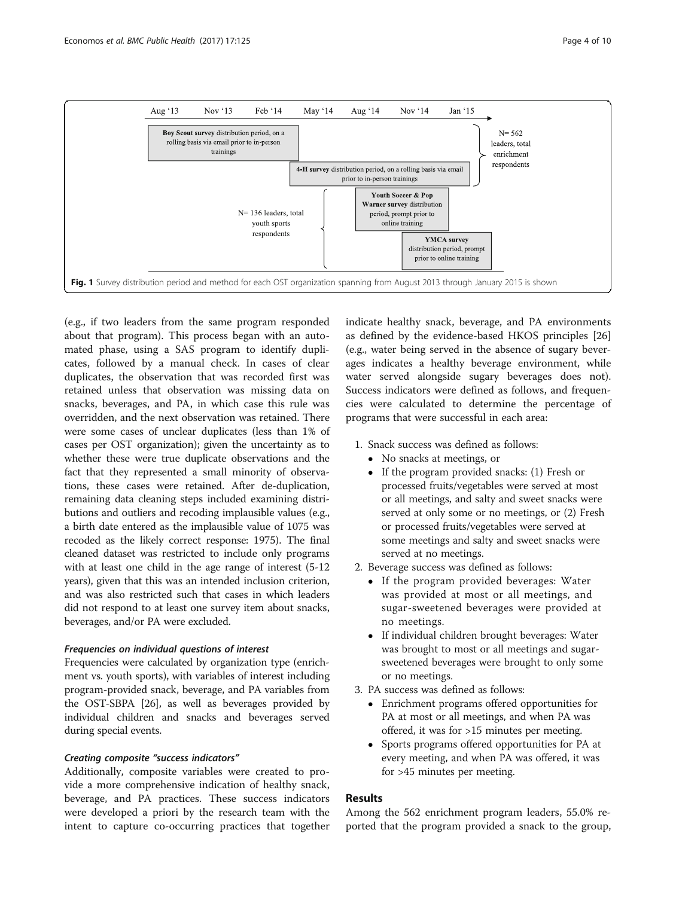<span id="page-3-0"></span>

(e.g., if two leaders from the same program responded about that program). This process began with an automated phase, using a SAS program to identify duplicates, followed by a manual check. In cases of clear duplicates, the observation that was recorded first was retained unless that observation was missing data on snacks, beverages, and PA, in which case this rule was overridden, and the next observation was retained. There were some cases of unclear duplicates (less than 1% of cases per OST organization); given the uncertainty as to whether these were true duplicate observations and the fact that they represented a small minority of observations, these cases were retained. After de-duplication, remaining data cleaning steps included examining distributions and outliers and recoding implausible values (e.g., a birth date entered as the implausible value of 1075 was recoded as the likely correct response: 1975). The final cleaned dataset was restricted to include only programs with at least one child in the age range of interest (5-12 years), given that this was an intended inclusion criterion, and was also restricted such that cases in which leaders did not respond to at least one survey item about snacks, beverages, and/or PA were excluded.

# Frequencies on individual questions of interest

Frequencies were calculated by organization type (enrichment vs. youth sports), with variables of interest including program-provided snack, beverage, and PA variables from the OST-SBPA [\[26](#page-9-0)], as well as beverages provided by individual children and snacks and beverages served during special events.

# Creating composite "success indicators"

Additionally, composite variables were created to provide a more comprehensive indication of healthy snack, beverage, and PA practices. These success indicators were developed a priori by the research team with the intent to capture co-occurring practices that together

indicate healthy snack, beverage, and PA environments as defined by the evidence-based HKOS principles [[26](#page-9-0)] (e.g., water being served in the absence of sugary beverages indicates a healthy beverage environment, while water served alongside sugary beverages does not). Success indicators were defined as follows, and frequencies were calculated to determine the percentage of programs that were successful in each area:

- 1. Snack success was defined as follows:
	- No snacks at meetings, or
	- If the program provided snacks: (1) Fresh or processed fruits/vegetables were served at most or all meetings, and salty and sweet snacks were served at only some or no meetings, or (2) Fresh or processed fruits/vegetables were served at some meetings and salty and sweet snacks were served at no meetings.
- 2. Beverage success was defined as follows:
	- If the program provided beverages: Water was provided at most or all meetings, and sugar-sweetened beverages were provided at no meetings.
	- If individual children brought beverages: Water was brought to most or all meetings and sugarsweetened beverages were brought to only some or no meetings.
- 3. PA success was defined as follows:
	- Enrichment programs offered opportunities for PA at most or all meetings, and when PA was offered, it was for >15 minutes per meeting.
	- Sports programs offered opportunities for PA at every meeting, and when PA was offered, it was for >45 minutes per meeting.

# Results

Among the 562 enrichment program leaders, 55.0% reported that the program provided a snack to the group,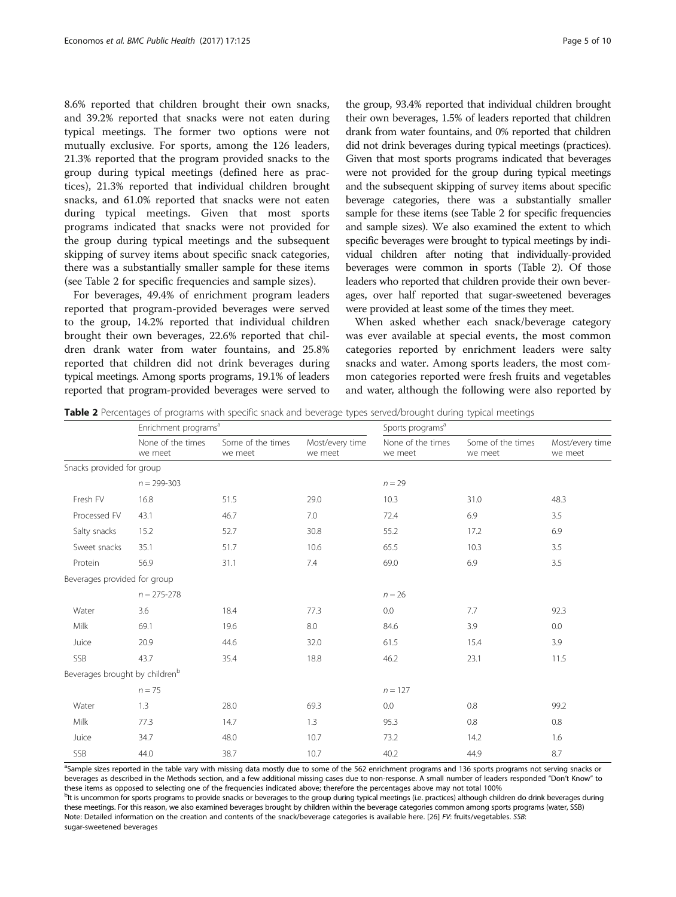8.6% reported that children brought their own snacks, and 39.2% reported that snacks were not eaten during typical meetings. The former two options were not mutually exclusive. For sports, among the 126 leaders, 21.3% reported that the program provided snacks to the group during typical meetings (defined here as practices), 21.3% reported that individual children brought snacks, and 61.0% reported that snacks were not eaten during typical meetings. Given that most sports programs indicated that snacks were not provided for the group during typical meetings and the subsequent skipping of survey items about specific snack categories, there was a substantially smaller sample for these items (see Table 2 for specific frequencies and sample sizes).

For beverages, 49.4% of enrichment program leaders reported that program-provided beverages were served to the group, 14.2% reported that individual children brought their own beverages, 22.6% reported that children drank water from water fountains, and 25.8% reported that children did not drink beverages during typical meetings. Among sports programs, 19.1% of leaders reported that program-provided beverages were served to the group, 93.4% reported that individual children brought their own beverages, 1.5% of leaders reported that children drank from water fountains, and 0% reported that children did not drink beverages during typical meetings (practices). Given that most sports programs indicated that beverages were not provided for the group during typical meetings and the subsequent skipping of survey items about specific beverage categories, there was a substantially smaller sample for these items (see Table 2 for specific frequencies and sample sizes). We also examined the extent to which specific beverages were brought to typical meetings by individual children after noting that individually-provided beverages were common in sports (Table 2). Of those leaders who reported that children provide their own beverages, over half reported that sugar-sweetened beverages were provided at least some of the times they meet.

When asked whether each snack/beverage category was ever available at special events, the most common categories reported by enrichment leaders were salty snacks and water. Among sports leaders, the most common categories reported were fresh fruits and vegetables and water, although the following were also reported by

Table 2 Percentages of programs with specific snack and beverage types served/brought during typical meetings

|                                            | Enrichment programs <sup>a</sup> |                              |                            | Sports programs <sup>a</sup> |                              |                            |
|--------------------------------------------|----------------------------------|------------------------------|----------------------------|------------------------------|------------------------------|----------------------------|
|                                            | None of the times<br>we meet     | Some of the times<br>we meet | Most/every time<br>we meet | None of the times<br>we meet | Some of the times<br>we meet | Most/every time<br>we meet |
| Snacks provided for group                  |                                  |                              |                            |                              |                              |                            |
|                                            | $n = 299 - 303$                  |                              |                            | $n = 29$                     |                              |                            |
| Fresh FV                                   | 16.8                             | 51.5                         | 29.0                       | 10.3                         | 31.0                         | 48.3                       |
| Processed FV                               | 43.1                             | 46.7                         | 7.0                        | 72.4                         | 6.9                          | 3.5                        |
| Salty snacks                               | 15.2                             | 52.7                         | 30.8                       | 55.2                         | 17.2                         | 6.9                        |
| Sweet snacks                               | 35.1                             | 51.7                         | 10.6                       | 65.5                         | 10.3                         | 3.5                        |
| Protein                                    | 56.9                             | 31.1                         | 7.4                        | 69.0                         | 6.9                          | 3.5                        |
| Beverages provided for group               |                                  |                              |                            |                              |                              |                            |
|                                            | $n = 275 - 278$                  |                              |                            | $n = 26$                     |                              |                            |
| Water                                      | 3.6                              | 18.4                         | 77.3                       | 0.0                          | 7.7                          | 92.3                       |
| Milk                                       | 69.1                             | 19.6                         | 8.0                        | 84.6                         | 3.9                          | 0.0                        |
| Juice                                      | 20.9                             | 44.6                         | 32.0                       | 61.5                         | 15.4                         | 3.9                        |
| SSB                                        | 43.7                             | 35.4                         | 18.8                       | 46.2                         | 23.1                         | 11.5                       |
| Beverages brought by children <sup>b</sup> |                                  |                              |                            |                              |                              |                            |
|                                            | $n = 75$                         |                              |                            | $n = 127$                    |                              |                            |
| Water                                      | 1.3                              | 28.0                         | 69.3                       | 0.0                          | 0.8                          | 99.2                       |
| Milk                                       | 77.3                             | 14.7                         | 1.3                        | 95.3                         | 0.8                          | 0.8                        |
| Juice                                      | 34.7                             | 48.0                         | 10.7                       | 73.2                         | 14.2                         | 1.6                        |
| SSB                                        | 44.0                             | 38.7                         | 10.7                       | 40.2                         | 44.9                         | 8.7                        |

<sup>a</sup>Sample sizes reported in the table vary with missing data mostly due to some of the 562 enrichment programs and 136 sports programs not serving snacks or beverages as described in the Methods section, and a few additional missing cases due to non-response. A small number of leaders responded "Don't Know" to these items as opposed to selecting one of the frequencies indicated above; therefore the percentages above may not total 100%

<sub>p</sub><br>Bit is uncommon for sports programs to provide snacks or beverages to the group during typical meetings (i.e. practices) although children do drink beverages during these meetings. For this reason, we also examined beverages brought by children within the beverage categories common among sports programs (water, SSB) Note: Detailed information on the creation and contents of the snack/beverage categories is available here. [[26\]](#page-9-0) FV: fruits/vegetables. SSB: sugar-sweetened beverages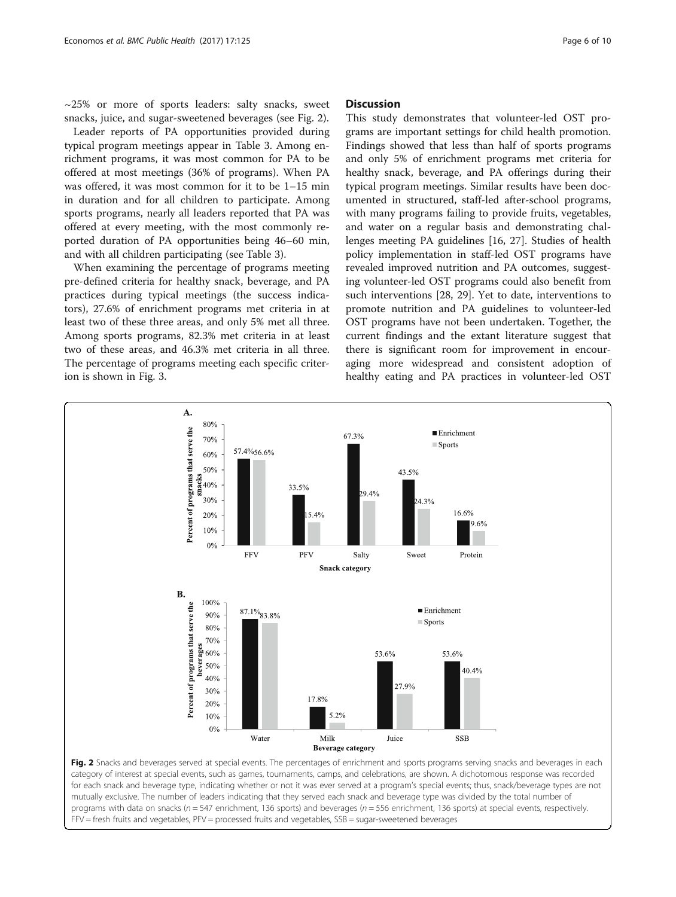$\sim$ 25% or more of sports leaders: salty snacks, sweet snacks, juice, and sugar-sweetened beverages (see Fig. 2).

Leader reports of PA opportunities provided during typical program meetings appear in Table [3.](#page-6-0) Among enrichment programs, it was most common for PA to be offered at most meetings (36% of programs). When PA was offered, it was most common for it to be 1–15 min in duration and for all children to participate. Among sports programs, nearly all leaders reported that PA was offered at every meeting, with the most commonly reported duration of PA opportunities being 46–60 min, and with all children participating (see Table [3\)](#page-6-0).

When examining the percentage of programs meeting pre-defined criteria for healthy snack, beverage, and PA practices during typical meetings (the success indicators), 27.6% of enrichment programs met criteria in at least two of these three areas, and only 5% met all three. Among sports programs, 82.3% met criteria in at least two of these areas, and 46.3% met criteria in all three. The percentage of programs meeting each specific criterion is shown in Fig. [3.](#page-6-0)

# **Discussion**

This study demonstrates that volunteer-led OST programs are important settings for child health promotion. Findings showed that less than half of sports programs and only 5% of enrichment programs met criteria for healthy snack, beverage, and PA offerings during their typical program meetings. Similar results have been documented in structured, staff-led after-school programs, with many programs failing to provide fruits, vegetables, and water on a regular basis and demonstrating challenges meeting PA guidelines [[16, 27](#page-9-0)]. Studies of health policy implementation in staff-led OST programs have revealed improved nutrition and PA outcomes, suggesting volunteer-led OST programs could also benefit from such interventions [\[28](#page-9-0), [29\]](#page-9-0). Yet to date, interventions to promote nutrition and PA guidelines to volunteer-led OST programs have not been undertaken. Together, the current findings and the extant literature suggest that there is significant room for improvement in encouraging more widespread and consistent adoption of healthy eating and PA practices in volunteer-led OST



category of interest at special events, such as games, tournaments, camps, and celebrations, are shown. A dichotomous response was recorded for each snack and beverage type, indicating whether or not it was ever served at a program's special events; thus, snack/beverage types are not mutually exclusive. The number of leaders indicating that they served each snack and beverage type was divided by the total number of programs with data on snacks ( $n = 547$  enrichment, 136 sports) and beverages ( $n = 556$  enrichment, 136 sports) at special events, respectively. FFV = fresh fruits and vegetables, PFV = processed fruits and vegetables, SSB = sugar-sweetened beverages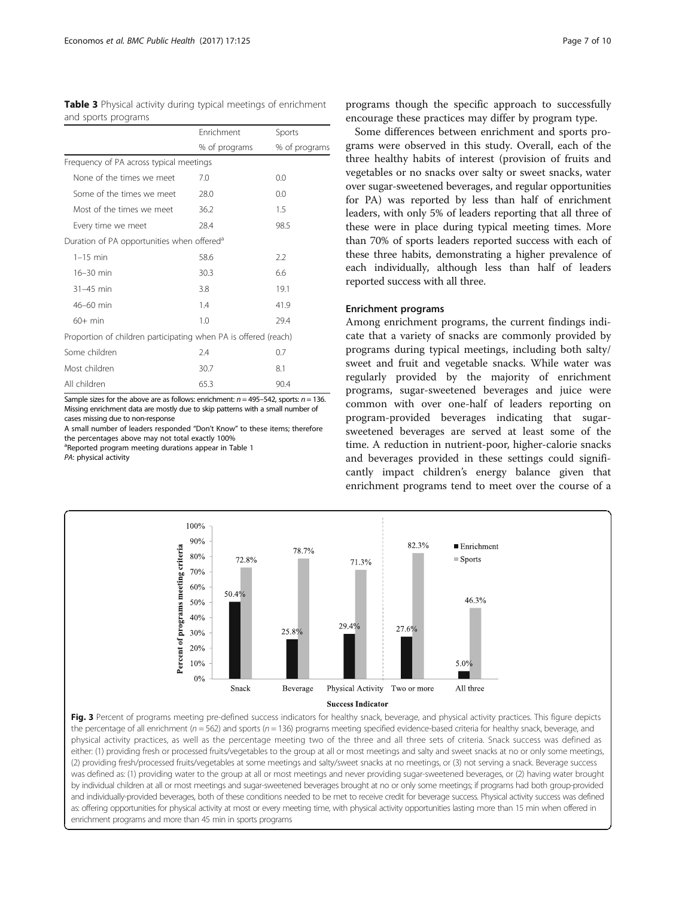<span id="page-6-0"></span>

|                     |  |  | Table 3 Physical activity during typical meetings of enrichment |  |
|---------------------|--|--|-----------------------------------------------------------------|--|
| and sports programs |  |  |                                                                 |  |

|                                                                 | Enrichment    | Sports        |
|-----------------------------------------------------------------|---------------|---------------|
|                                                                 | % of programs | % of programs |
| Frequency of PA across typical meetings                         |               |               |
| None of the times we meet                                       | 7.0           | 0.0           |
| Some of the times we meet                                       | 28.0          | 0.0           |
| Most of the times we meet                                       | 36.2          | 1.5           |
| Every time we meet                                              | 28.4          | 98.5          |
| Duration of PA opportunities when offered <sup>®</sup>          |               |               |
| $1-15$ min                                                      | 58.6          | 2.2           |
| 16-30 min                                                       | 30.3          | 6.6           |
| $31-45$ min                                                     | 3.8           | 19.1          |
| 46-60 min                                                       | 1.4           | 41.9          |
| $60+$ min                                                       | 1.0           | 29.4          |
| Proportion of children participating when PA is offered (reach) |               |               |
| Some children                                                   | 2.4           | 0.7           |
| Most children                                                   | 30.7          | 8.1           |
| All children                                                    | 65.3          | 90.4          |

Sample sizes for the above are as follows: enrichment:  $n = 495-542$ , sports:  $n = 136$ . Missing enrichment data are mostly due to skip patterns with a small number of cases missing due to non-response

A small number of leaders responded "Don't Know" to these items; therefore the percentages above may not total exactly 100%

<sup>a</sup>Reported program meeting durations appear in Table [1](#page-2-0)

PA: physical activity

programs though the specific approach to successfully encourage these practices may differ by program type.

Some differences between enrichment and sports programs were observed in this study. Overall, each of the three healthy habits of interest (provision of fruits and vegetables or no snacks over salty or sweet snacks, water over sugar-sweetened beverages, and regular opportunities for PA) was reported by less than half of enrichment leaders, with only 5% of leaders reporting that all three of these were in place during typical meeting times. More than 70% of sports leaders reported success with each of these three habits, demonstrating a higher prevalence of each individually, although less than half of leaders reported success with all three.

# Enrichment programs

Among enrichment programs, the current findings indicate that a variety of snacks are commonly provided by programs during typical meetings, including both salty/ sweet and fruit and vegetable snacks. While water was regularly provided by the majority of enrichment programs, sugar-sweetened beverages and juice were common with over one-half of leaders reporting on program-provided beverages indicating that sugarsweetened beverages are served at least some of the time. A reduction in nutrient-poor, higher-calorie snacks and beverages provided in these settings could significantly impact children's energy balance given that enrichment programs tend to meet over the course of a



Fig. 3 Percent of programs meeting pre-defined success indicators for healthy snack, beverage, and physical activity practices. This figure depicts the percentage of all enrichment ( $n = 562$ ) and sports ( $n = 136$ ) programs meeting specified evidence-based criteria for healthy snack, beverage, and physical activity practices, as well as the percentage meeting two of the three and all three sets of criteria. Snack success was defined as either: (1) providing fresh or processed fruits/vegetables to the group at all or most meetings and salty and sweet snacks at no or only some meetings, (2) providing fresh/processed fruits/vegetables at some meetings and salty/sweet snacks at no meetings, or (3) not serving a snack. Beverage success was defined as: (1) providing water to the group at all or most meetings and never providing sugar-sweetened beverages, or (2) having water brought by individual children at all or most meetings and sugar-sweetened beverages brought at no or only some meetings; if programs had both group-provided and individually-provided beverages, both of these conditions needed to be met to receive credit for beverage success. Physical activity success was defined as: offering opportunities for physical activity at most or every meeting time, with physical activity opportunities lasting more than 15 min when offered in enrichment programs and more than 45 min in sports programs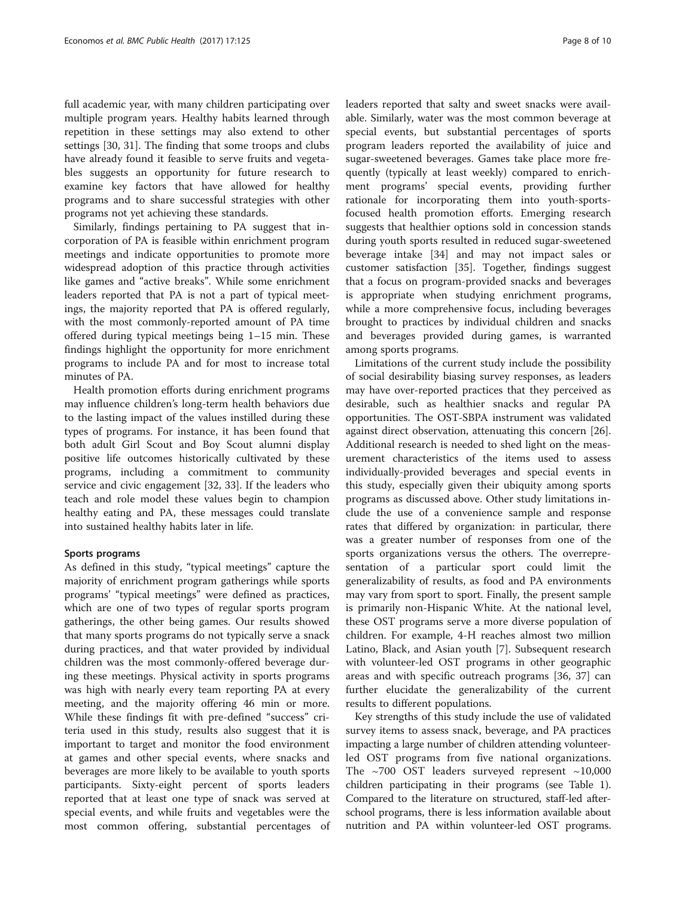full academic year, with many children participating over multiple program years. Healthy habits learned through repetition in these settings may also extend to other settings [[30, 31\]](#page-9-0). The finding that some troops and clubs have already found it feasible to serve fruits and vegetables suggests an opportunity for future research to examine key factors that have allowed for healthy programs and to share successful strategies with other programs not yet achieving these standards.

Similarly, findings pertaining to PA suggest that incorporation of PA is feasible within enrichment program meetings and indicate opportunities to promote more widespread adoption of this practice through activities like games and "active breaks". While some enrichment leaders reported that PA is not a part of typical meetings, the majority reported that PA is offered regularly, with the most commonly-reported amount of PA time offered during typical meetings being 1–15 min. These findings highlight the opportunity for more enrichment programs to include PA and for most to increase total minutes of PA.

Health promotion efforts during enrichment programs may influence children's long-term health behaviors due to the lasting impact of the values instilled during these types of programs. For instance, it has been found that both adult Girl Scout and Boy Scout alumni display positive life outcomes historically cultivated by these programs, including a commitment to community service and civic engagement [\[32, 33\]](#page-9-0). If the leaders who teach and role model these values begin to champion healthy eating and PA, these messages could translate into sustained healthy habits later in life.

# Sports programs

As defined in this study, "typical meetings" capture the majority of enrichment program gatherings while sports programs' "typical meetings" were defined as practices, which are one of two types of regular sports program gatherings, the other being games. Our results showed that many sports programs do not typically serve a snack during practices, and that water provided by individual children was the most commonly-offered beverage during these meetings. Physical activity in sports programs was high with nearly every team reporting PA at every meeting, and the majority offering 46 min or more. While these findings fit with pre-defined "success" criteria used in this study, results also suggest that it is important to target and monitor the food environment at games and other special events, where snacks and beverages are more likely to be available to youth sports participants. Sixty-eight percent of sports leaders reported that at least one type of snack was served at special events, and while fruits and vegetables were the most common offering, substantial percentages of

able. Similarly, water was the most common beverage at special events, but substantial percentages of sports program leaders reported the availability of juice and sugar-sweetened beverages. Games take place more frequently (typically at least weekly) compared to enrichment programs' special events, providing further rationale for incorporating them into youth-sportsfocused health promotion efforts. Emerging research suggests that healthier options sold in concession stands during youth sports resulted in reduced sugar-sweetened beverage intake [\[34](#page-9-0)] and may not impact sales or customer satisfaction [[35\]](#page-9-0). Together, findings suggest that a focus on program-provided snacks and beverages is appropriate when studying enrichment programs, while a more comprehensive focus, including beverages brought to practices by individual children and snacks and beverages provided during games, is warranted among sports programs.

Limitations of the current study include the possibility of social desirability biasing survey responses, as leaders may have over-reported practices that they perceived as desirable, such as healthier snacks and regular PA opportunities. The OST-SBPA instrument was validated against direct observation, attenuating this concern [\[26](#page-9-0)]. Additional research is needed to shed light on the measurement characteristics of the items used to assess individually-provided beverages and special events in this study, especially given their ubiquity among sports programs as discussed above. Other study limitations include the use of a convenience sample and response rates that differed by organization: in particular, there was a greater number of responses from one of the sports organizations versus the others. The overrepresentation of a particular sport could limit the generalizability of results, as food and PA environments may vary from sport to sport. Finally, the present sample is primarily non-Hispanic White. At the national level, these OST programs serve a more diverse population of children. For example, 4-H reaches almost two million Latino, Black, and Asian youth [\[7\]](#page-9-0). Subsequent research with volunteer-led OST programs in other geographic areas and with specific outreach programs [\[36, 37](#page-9-0)] can further elucidate the generalizability of the current results to different populations.

Key strengths of this study include the use of validated survey items to assess snack, beverage, and PA practices impacting a large number of children attending volunteerled OST programs from five national organizations. The  $\sim$ 700 OST leaders surveyed represent  $\sim$ 10,000 children participating in their programs (see Table [1](#page-2-0)). Compared to the literature on structured, staff-led afterschool programs, there is less information available about nutrition and PA within volunteer-led OST programs.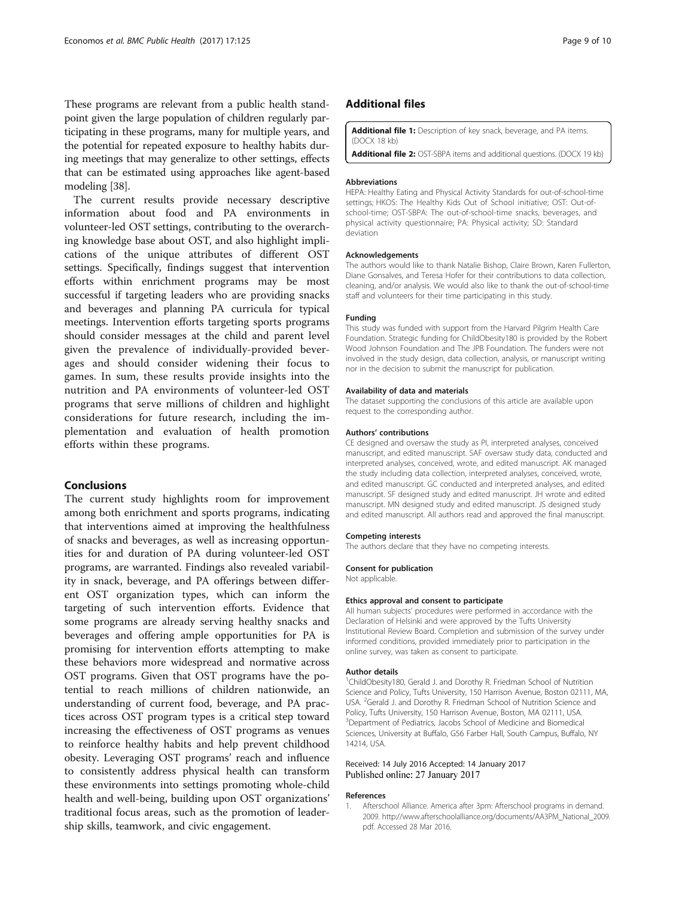<span id="page-8-0"></span>These programs are relevant from a public health standpoint given the large population of children regularly participating in these programs, many for multiple years, and the potential for repeated exposure to healthy habits during meetings that may generalize to other settings, effects that can be estimated using approaches like agent-based modeling [[38](#page-9-0)].

The current results provide necessary descriptive information about food and PA environments in volunteer-led OST settings, contributing to the overarching knowledge base about OST, and also highlight implications of the unique attributes of different OST settings. Specifically, findings suggest that intervention efforts within enrichment programs may be most successful if targeting leaders who are providing snacks and beverages and planning PA curricula for typical meetings. Intervention efforts targeting sports programs should consider messages at the child and parent level given the prevalence of individually-provided beverages and should consider widening their focus to games. In sum, these results provide insights into the nutrition and PA environments of volunteer-led OST programs that serve millions of children and highlight considerations for future research, including the implementation and evaluation of health promotion efforts within these programs.

# Conclusions

The current study highlights room for improvement among both enrichment and sports programs, indicating that interventions aimed at improving the healthfulness of snacks and beverages, as well as increasing opportunities for and duration of PA during volunteer-led OST programs, are warranted. Findings also revealed variability in snack, beverage, and PA offerings between different OST organization types, which can inform the targeting of such intervention efforts. Evidence that some programs are already serving healthy snacks and beverages and offering ample opportunities for PA is promising for intervention efforts attempting to make these behaviors more widespread and normative across OST programs. Given that OST programs have the potential to reach millions of children nationwide, an understanding of current food, beverage, and PA practices across OST program types is a critical step toward increasing the effectiveness of OST programs as venues to reinforce healthy habits and help prevent childhood obesity. Leveraging OST programs' reach and influence to consistently address physical health can transform these environments into settings promoting whole-child health and well-being, building upon OST organizations' traditional focus areas, such as the promotion of leadership skills, teamwork, and civic engagement.

# Additional files

[Additional file 1:](dx.doi.org/10.1186/s12889-017-4040-2) Description of key snack, beverage, and PA items. (DOCX 18 kb)

[Additional file 2:](dx.doi.org/10.1186/s12889-017-4040-2) OST-SBPA items and additional questions. (DOCX 19 kb)

#### Abbreviations

HEPA: Healthy Eating and Physical Activity Standards for out-of-school-time settings; HKOS: The Healthy Kids Out of School initiative; OST: Out-ofschool-time; OST-SBPA: The out-of-school-time snacks, beverages, and physical activity questionnaire; PA: Physical activity; SD: Standard deviation

#### Acknowledgements

The authors would like to thank Natalie Bishop, Claire Brown, Karen Fullerton, Diane Gonsalves, and Teresa Hofer for their contributions to data collection, cleaning, and/or analysis. We would also like to thank the out-of-school-time staff and volunteers for their time participating in this study.

#### Funding

This study was funded with support from the Harvard Pilgrim Health Care Foundation. Strategic funding for ChildObesity180 is provided by the Robert Wood Johnson Foundation and The JPB Foundation. The funders were not involved in the study design, data collection, analysis, or manuscript writing nor in the decision to submit the manuscript for publication.

#### Availability of data and materials

The dataset supporting the conclusions of this article are available upon request to the corresponding author.

#### Authors' contributions

CE designed and oversaw the study as PI, interpreted analyses, conceived manuscript, and edited manuscript. SAF oversaw study data, conducted and interpreted analyses, conceived, wrote, and edited manuscript. AK managed the study including data collection, interpreted analyses, conceived, wrote, and edited manuscript. GC conducted and interpreted analyses, and edited manuscript. SF designed study and edited manuscript. JH wrote and edited manuscript. MN designed study and edited manuscript. JS designed study and edited manuscript. All authors read and approved the final manuscript.

#### Competing interests

The authors declare that they have no competing interests.

#### Consent for publication

Not applicable.

#### Ethics approval and consent to participate

All human subjects' procedures were performed in accordance with the Declaration of Helsinki and were approved by the Tufts University Institutional Review Board. Completion and submission of the survey under informed conditions, provided immediately prior to participation in the online survey, was taken as consent to participate.

#### Author details

<sup>1</sup>ChildObesity180, Gerald J. and Dorothy R. Friedman School of Nutrition Science and Policy, Tufts University, 150 Harrison Avenue, Boston 02111, MA, USA. <sup>2</sup>Gerald J. and Dorothy R. Friedman School of Nutrition Science and Policy, Tufts University, 150 Harrison Avenue, Boston, MA 02111, USA. <sup>3</sup>Department of Pediatrics, Jacobs School of Medicine and Biomedical Sciences, University at Buffalo, G56 Farber Hall, South Campus, Buffalo, NY 14214, USA.

#### Received: 14 July 2016 Accepted: 14 January 2017 Published online: 27 January 2017

#### References

Afterschool Alliance. America after 3pm: Afterschool programs in demand. 2009. [http://www.afterschoolalliance.org/documents/AA3PM\\_National\\_2009.](http://www.afterschoolalliance.org/documents/AA3PM_National_2009.pdf) [pdf](http://www.afterschoolalliance.org/documents/AA3PM_National_2009.pdf). Accessed 28 Mar 2016.